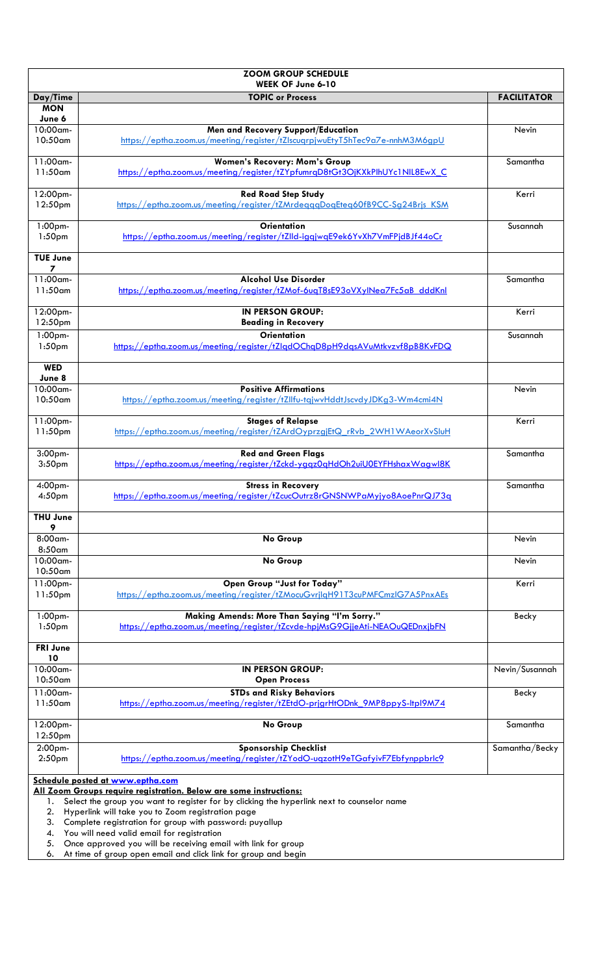| <b>ZOOM GROUP SCHEDULE</b><br>WEEK OF June 6-10                                                                         |                                                                                                             |                    |  |
|-------------------------------------------------------------------------------------------------------------------------|-------------------------------------------------------------------------------------------------------------|--------------------|--|
| Day/Time                                                                                                                | <b>TOPIC or Process</b>                                                                                     | <b>FACILITATOR</b> |  |
| <b>MON</b>                                                                                                              |                                                                                                             |                    |  |
| June 6                                                                                                                  |                                                                                                             |                    |  |
| 10:00am-                                                                                                                | Men and Recovery Support/Education                                                                          | Nevin              |  |
| 10:50am                                                                                                                 | https://eptha.zoom.us/meeting/register/tZlscugrpjwuEtyT5hTec9a7e-nnhM3M6gpU                                 |                    |  |
| 11:00am-                                                                                                                | <b>Women's Recovery: Mom's Group</b>                                                                        | Samantha           |  |
| $11:50$ am                                                                                                              | https://eptha.zoom.us/meeting/register/tZYpfumrqD8tGt3OjKXkPlhUYc1NIL8EwX C                                 |                    |  |
|                                                                                                                         |                                                                                                             |                    |  |
| 12:00pm-                                                                                                                | <b>Red Road Step Study</b>                                                                                  | Kerri              |  |
| 12:50pm                                                                                                                 | https://eptha.zoom.us/meeting/register/tZMrdegggDogEteg60fB9CC-Sg24Brjs KSM                                 |                    |  |
|                                                                                                                         |                                                                                                             |                    |  |
| 1:00pm-                                                                                                                 | <b>Orientation</b>                                                                                          | Susannah           |  |
| 1:50 <sub>pm</sub>                                                                                                      | https://eptha.zoom.us/meeting/register/tZlld-iggjwgE9ek6YvXh7VmFPjdBJf44oCr                                 |                    |  |
| <b>TUE June</b>                                                                                                         |                                                                                                             |                    |  |
| 7                                                                                                                       |                                                                                                             |                    |  |
| 11:00am-                                                                                                                | <b>Alcohol Use Disorder</b>                                                                                 | Samantha           |  |
| $11:50$ am                                                                                                              | https://eptha.zoom.us/meeting/register/tZMof-6uqT8sE93oVXylNea7Fc5aB_dddKnl                                 |                    |  |
|                                                                                                                         |                                                                                                             |                    |  |
| 12:00pm-                                                                                                                | <b>IN PERSON GROUP:</b>                                                                                     | Kerri              |  |
| 12:50pm                                                                                                                 | <b>Beading in Recovery</b>                                                                                  |                    |  |
| 1:00pm-                                                                                                                 | <b>Orientation</b>                                                                                          | Susannah           |  |
| 1:50 <sub>pm</sub>                                                                                                      | https://eptha.zoom.us/meeting/register/tZlgdOChgD8pH9dgsAVuMtkvzvf8pB8KvFDQ                                 |                    |  |
| <b>WED</b>                                                                                                              |                                                                                                             |                    |  |
| June 8                                                                                                                  |                                                                                                             |                    |  |
| 10:00am-                                                                                                                | <b>Positive Affirmations</b>                                                                                | Nevin              |  |
| 10:50am                                                                                                                 | https://eptha.zoom.us/meeting/register/tZllfu-tgjwvHddtJscvdyJDKg3-Wm4cmi4N                                 |                    |  |
|                                                                                                                         |                                                                                                             |                    |  |
| 11:00pm-                                                                                                                | <b>Stages of Relapse</b>                                                                                    | Kerri              |  |
| 11:50 <sub>pm</sub>                                                                                                     | https://eptha.zoom.us/meeting/register/tZArdOyprzgjEtQ rRvb 2WH1WAeorXvSluH                                 |                    |  |
| 3:00pm-                                                                                                                 | <b>Red and Green Flags</b>                                                                                  | Samantha           |  |
| 3:50 <sub>pm</sub>                                                                                                      | https://eptha.zoom.us/meeting/register/tZckd-yggz0gHdOh2uiU0EYFHshaxWagwl8K                                 |                    |  |
|                                                                                                                         |                                                                                                             |                    |  |
| 4:00pm-                                                                                                                 | <b>Stress in Recovery</b>                                                                                   | Samantha           |  |
| 4:50pm                                                                                                                  | https://eptha.zoom.us/meeting/register/t7cucQutrz8rGNSNWPaMyiyo8AoePnrQJZ3g                                 |                    |  |
|                                                                                                                         |                                                                                                             |                    |  |
| <b>THU June</b><br>9                                                                                                    |                                                                                                             |                    |  |
| 8:00am-                                                                                                                 | No Group                                                                                                    | Nevin              |  |
| 8:50am                                                                                                                  |                                                                                                             |                    |  |
| 10:00am-                                                                                                                | No Group                                                                                                    | Nevin              |  |
| $10:50$ am                                                                                                              |                                                                                                             |                    |  |
| 11:00 <sub>pm</sub>                                                                                                     | Open Group "Just for Today"                                                                                 | Kerri              |  |
| 11:50 <sub>pm</sub>                                                                                                     | https://eptha.zoom.us/meeting/register/tZMocuGvrjlgH91T3cuPMFCmzlG7A5PnxAEs                                 |                    |  |
|                                                                                                                         |                                                                                                             |                    |  |
| 1:00pm-                                                                                                                 | Making Amends: More Than Saying "I'm Sorry."                                                                | Becky              |  |
| 1:50 <sub>pm</sub>                                                                                                      | https://eptha.zoom.us/meeting/register/tZcvde-hpjMsG9GjjeAti-NEAOuQEDnxjbFN                                 |                    |  |
| <b>FRI June</b>                                                                                                         |                                                                                                             |                    |  |
| 10                                                                                                                      |                                                                                                             |                    |  |
| $10:00$ am-                                                                                                             | <b>IN PERSON GROUP:</b>                                                                                     | Nevin/Susannah     |  |
| 10:50am                                                                                                                 | <b>Open Process</b>                                                                                         |                    |  |
| 11:00am-                                                                                                                | <b>STDs and Risky Behaviors</b>                                                                             | Becky              |  |
| $11:50$ am                                                                                                              | https://eptha.zoom.us/meeting/register/tZEtdO-prigrHtODnk 9MP8ppyS-ltpl9M74                                 |                    |  |
|                                                                                                                         |                                                                                                             |                    |  |
| 12:00pm-                                                                                                                | No Group                                                                                                    | Samantha           |  |
| 12:50pm                                                                                                                 |                                                                                                             |                    |  |
| 2:00pm-<br>2:50 <sub>pm</sub>                                                                                           | <b>Sponsorship Checklist</b><br>https://eptha.zoom.us/meeting/register/tZYodO-uqzotH9eTGafyivF7Ebfynppbrlc9 | Samantha/Becky     |  |
|                                                                                                                         |                                                                                                             |                    |  |
| Schedule posted at www.eptha.com                                                                                        |                                                                                                             |                    |  |
| All Zoom Groups require registration. Below are some instructions:                                                      |                                                                                                             |                    |  |
| Select the group you want to register for by clicking the hyperlink next to counselor name<br>1.                        |                                                                                                             |                    |  |
| 2.<br>Hyperlink will take you to Zoom registration page                                                                 |                                                                                                             |                    |  |
| 3.                                                                                                                      | Complete registration for group with password: puyallup                                                     |                    |  |
| You will need valid email for registration<br>4.<br>Once approved you will be receiving email with link for group<br>5. |                                                                                                             |                    |  |
| 6.                                                                                                                      | At time of group open email and click link for group and begin                                              |                    |  |
|                                                                                                                         |                                                                                                             |                    |  |

6. At time of group open email and click link for group and begin